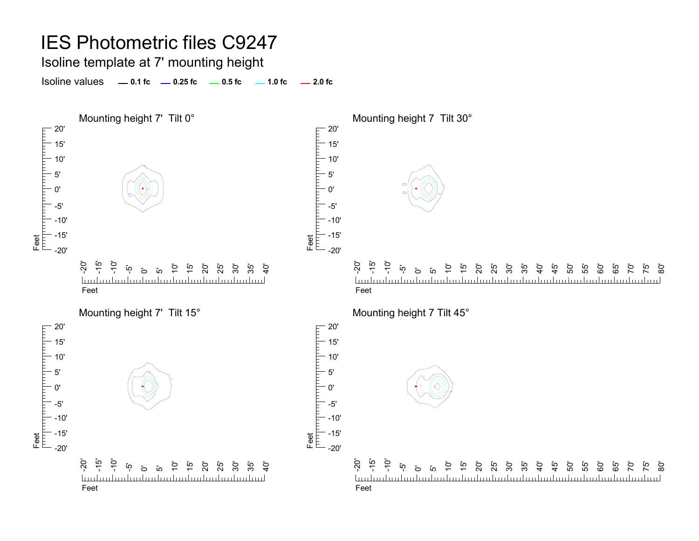Isoline template at 7' mounting height

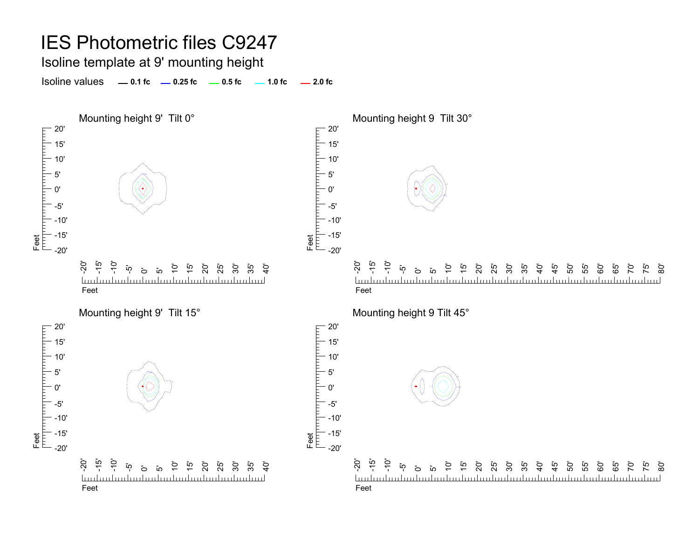Isoline template at 9' mounting height

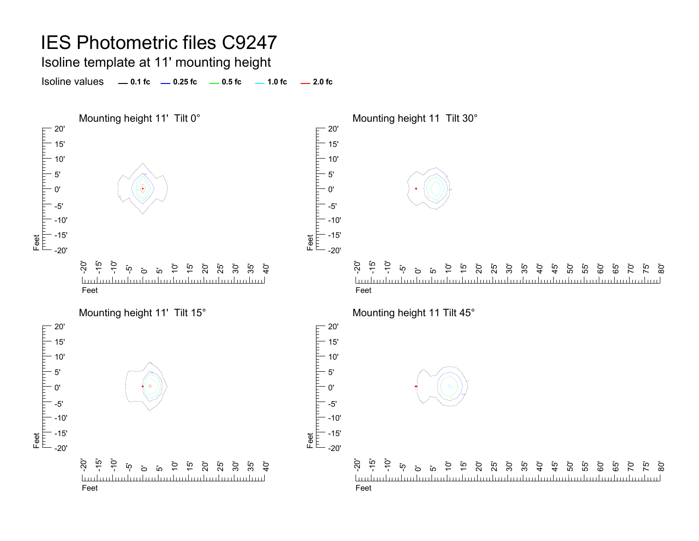Isoline template at 11' mounting height

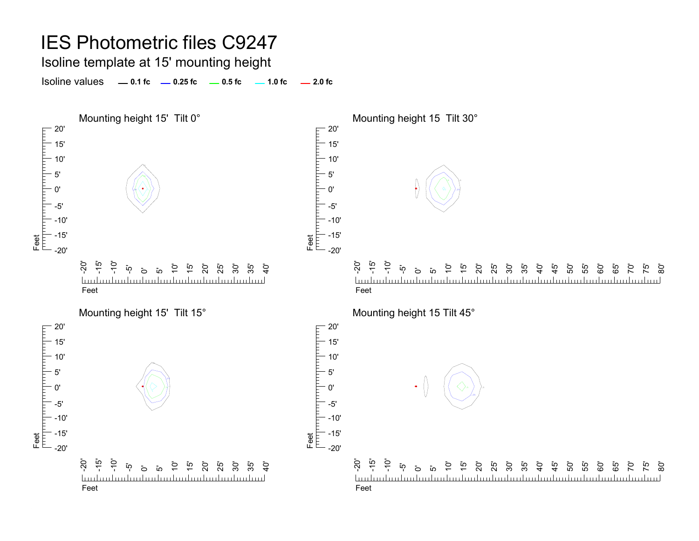Isoline template at 15' mounting height